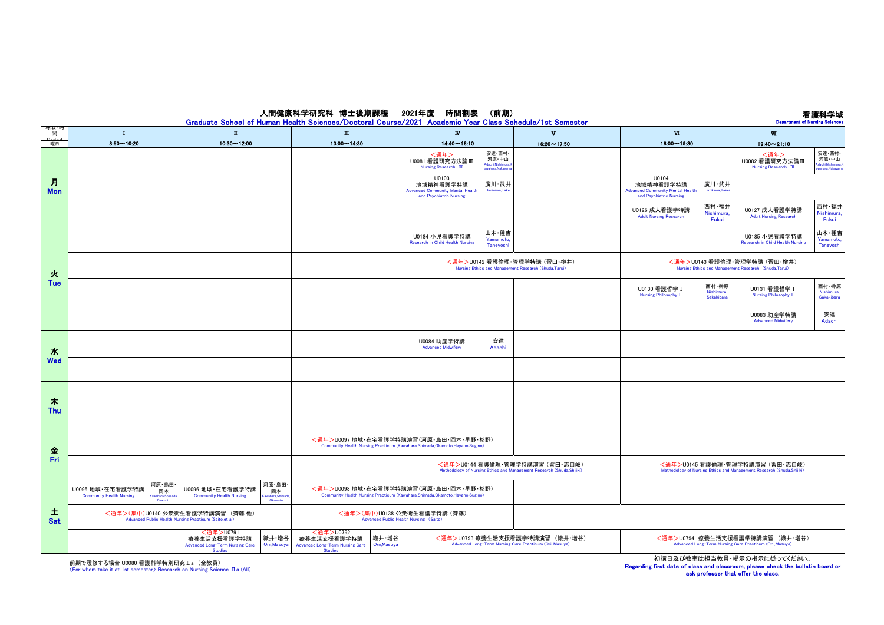## 看護科学域

## 人間健康科学研究科 博士後期課程 2021年度 時間割表 (前期)

|                 | Graduate School of Human Health Sciences/Doctoral Course/2021 Academic Year Class Schedule/1st Semester<br><b>Department of Nursing Sciences</b> |                                                                                                        |                                                                                                                           |                                                                                                                           |                         |                                                                                                                   |                                                                                                                  |  |  |  |  |  |
|-----------------|--------------------------------------------------------------------------------------------------------------------------------------------------|--------------------------------------------------------------------------------------------------------|---------------------------------------------------------------------------------------------------------------------------|---------------------------------------------------------------------------------------------------------------------------|-------------------------|-------------------------------------------------------------------------------------------------------------------|------------------------------------------------------------------------------------------------------------------|--|--|--|--|--|
| 叫吹<br>間         | $\mathbf{I}$                                                                                                                                     | $\blacksquare$                                                                                         | $\blacksquare$                                                                                                            | $\overline{N}$                                                                                                            | $\overline{\mathbf{v}}$ | $\Psi$                                                                                                            | $\Psi$                                                                                                           |  |  |  |  |  |
| اممنعم<br>曜日    | $8.50 - 10.20$                                                                                                                                   | $10.30 - 12.00$                                                                                        | $13.00 - 14.30$                                                                                                           | $14.40 - 16.10$                                                                                                           | $16:20 \sim 17:50$      | $18.00 - 19.30$                                                                                                   | $19:40 - 21:10$                                                                                                  |  |  |  |  |  |
| 月<br><b>Mon</b> |                                                                                                                                                  |                                                                                                        |                                                                                                                           | 安達·西村·<br><通年><br>河原·中山<br>U0081 看護研究方法論Ⅲ<br>dachi, Nishimura,<br>Nursing Research III<br>awahara Nakawan                 |                         |                                                                                                                   | 安達·西村·<br>〈通年〉<br>河原・中山<br>U0082 看護研究方法論Ⅲ<br>.<br>Adachi,Nishimura,K<br>awahara,Nakayama<br>Nursing Research III |  |  |  |  |  |
|                 |                                                                                                                                                  |                                                                                                        |                                                                                                                           | U0103<br>地域精神看護学特講<br>廣川・武井<br><b>Advanced Community Mental Health</b><br>Hirokawa, Takei<br>and Psychiatric Nursing      |                         | U0104<br>地域精神看護学特講<br>廣川・武井<br><b>Advanced Community Mental Health</b><br>Hirokawa.Tak<br>and Psychiatric Nursing |                                                                                                                  |  |  |  |  |  |
|                 |                                                                                                                                                  |                                                                                                        |                                                                                                                           |                                                                                                                           |                         | 西村·福井<br>U0126 成人看護学特講<br>Nishimura<br><b>Adult Nursing Research</b><br>Fukui                                     | 西村·福井<br>U0127 成人看護学特講<br>Nishimura,<br><b>Adult Nursing Research</b><br>Fukui                                   |  |  |  |  |  |
| 火<br>Tue        |                                                                                                                                                  |                                                                                                        |                                                                                                                           | 山本・種吉<br>U0184 小児看護学特講<br>Yamamoto,<br>Research in Child Health Nursing<br>Taneyoshi                                      |                         |                                                                                                                   | 山本・種吉<br>U0185 小児看護学特講<br>Yamamoto,<br><b>Research in Child Health Nursing</b><br>Taneyoshi                      |  |  |  |  |  |
|                 |                                                                                                                                                  |                                                                                                        |                                                                                                                           | <通年>U0142 看護倫理·管理学特講 (習田·樽井)<br>Nursing Ethics and Management Research (Shuda,Tarui)                                      |                         |                                                                                                                   | <通年>U0143 看護倫理·管理学特講 (習田·樽井)<br>Nursing Ethics and Management Research (Shuda, Tarui)                            |  |  |  |  |  |
|                 |                                                                                                                                                  |                                                                                                        |                                                                                                                           |                                                                                                                           |                         | 西村・榊原<br>U0130 看護哲学 I<br>Nishimura,<br><b>Nursing Philosophy I</b><br>Sakakibara                                  | 西村·榊原<br>U0131 看護哲学 I<br>Nishimura,<br><b>Nursing Philosophy I</b><br>Sakakibara                                 |  |  |  |  |  |
|                 |                                                                                                                                                  |                                                                                                        |                                                                                                                           |                                                                                                                           |                         |                                                                                                                   | U0083 助産学特講<br>安達<br><b>Advanced Midwifery</b><br>Adachi                                                         |  |  |  |  |  |
| 水<br>Wed        |                                                                                                                                                  |                                                                                                        |                                                                                                                           | 安達<br>U0084 助産学特講<br><b>Advanced Midwifery</b><br>Adachi                                                                  |                         |                                                                                                                   |                                                                                                                  |  |  |  |  |  |
|                 |                                                                                                                                                  |                                                                                                        |                                                                                                                           |                                                                                                                           |                         |                                                                                                                   |                                                                                                                  |  |  |  |  |  |
| 未<br>Thu        |                                                                                                                                                  |                                                                                                        |                                                                                                                           |                                                                                                                           |                         |                                                                                                                   |                                                                                                                  |  |  |  |  |  |
|                 |                                                                                                                                                  |                                                                                                        |                                                                                                                           |                                                                                                                           |                         |                                                                                                                   |                                                                                                                  |  |  |  |  |  |
| 金<br>Fri        |                                                                                                                                                  |                                                                                                        | <通年>U0097 地域·在宅看護学特講演習(河原·島田·岡本·早野·杉野)<br>Community Health Nursing Practicum (Kawahara, Shimada, Okamoto, Hayano, Sugino) |                                                                                                                           |                         |                                                                                                                   |                                                                                                                  |  |  |  |  |  |
|                 |                                                                                                                                                  |                                                                                                        | <通年>U0144 看護倫理·管理学特講演習 (習田·志自岐)<br>Methodology of Nursing Ethics and Management Research (Shuda, Shijiki)                 |                                                                                                                           |                         | <通年>U0145 看護倫理·管理学特講演習 (習田·志自岐)<br>Methodology of Nursing Ethics and Management Research (Shuda, Shijiki)         |                                                                                                                  |  |  |  |  |  |
| 土<br>Sat        | 河原·島田<br>U0095 地域·在宅看護学特講<br>岡本<br><b>Community Health Nursing</b><br>wahara.Shima<br>Okamoto                                                    | 河原・島田<br>U0096 地域·在宅看護学特講<br>圖本<br><b>Community Health Nursing</b><br>vahara.Shima<br>Okamoto          |                                                                                                                           | <通年>U0098 地域·在宅看護学特講演習(河原·島田·岡本·早野·杉野)<br>Community Health Nursing Practicum (Kawahara, Shimada, Okamoto, Hayano, Sugino) |                         |                                                                                                                   |                                                                                                                  |  |  |  |  |  |
|                 | <通年>(集中)U0140 公衆衛生看護学特講演習 (斉藤 他)<br>Advanced Public Health Nursing Practicum (Saito,et al)                                                       |                                                                                                        | <通年>(集中)U0138 公衆衛生看護学特講 (斉藤)<br>Advanced Public Health Nursing (Saito)                                                    |                                                                                                                           |                         |                                                                                                                   |                                                                                                                  |  |  |  |  |  |
|                 |                                                                                                                                                  | <通年>U0791<br>織井・増谷<br>療養生活支援看護学特講<br>Orii, Masuya<br>Advanced Long-Term Nursing Care<br><b>Studies</b> | <通年>U0792<br>織井·増谷<br>療養生活支援看護学特講<br>Orii, Masuya<br>Advanced Long-Term Nursing Care<br><b>Studies</b>                    | <通年>U0793 療養生活支援看護学特講演習 (織井·増谷)<br>Advanced Long-Term Nursing Care Practicum (Orii, Masuya)                               |                         | <通年>U0794 療養生活支援看護学特講演習 (織井·増谷)<br>Advanced Long-Term Nursing Care Practicum (Orii, Masuya)                       |                                                                                                                  |  |  |  |  |  |

前期で履修する場合 U0080 看護科学特別研究 II a (全教員)<br>〈For whom take it at 1st semester〉 Research on Nursing Science Ⅱa (All)

初講日及び教室は担当教員・掲示の指示に従ってください。

Regarding first date of class and classroom, please check the bulletin board or ask professer that offer the class.